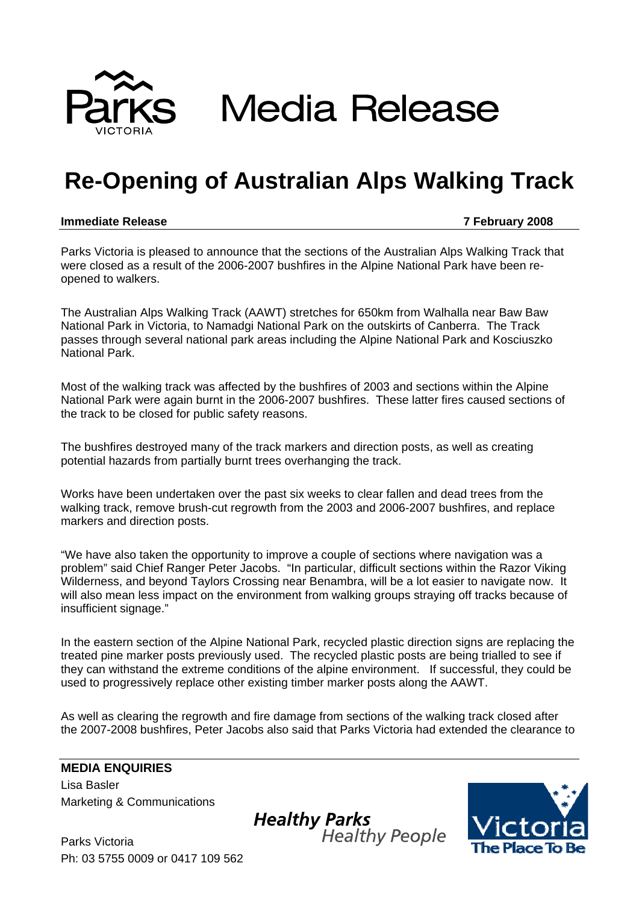

**Media Release** 

## **Re-Opening of Australian Alps Walking Track**

## **Immediate Release 7 February 2008**

Parks Victoria is pleased to announce that the sections of the Australian Alps Walking Track that were closed as a result of the 2006-2007 bushfires in the Alpine National Park have been reopened to walkers.

The Australian Alps Walking Track (AAWT) stretches for 650km from Walhalla near Baw Baw National Park in Victoria, to Namadgi National Park on the outskirts of Canberra. The Track passes through several national park areas including the Alpine National Park and Kosciuszko National Park.

Most of the walking track was affected by the bushfires of 2003 and sections within the Alpine National Park were again burnt in the 2006-2007 bushfires. These latter fires caused sections of the track to be closed for public safety reasons.

The bushfires destroyed many of the track markers and direction posts, as well as creating potential hazards from partially burnt trees overhanging the track.

Works have been undertaken over the past six weeks to clear fallen and dead trees from the walking track, remove brush-cut regrowth from the 2003 and 2006-2007 bushfires, and replace markers and direction posts.

"We have also taken the opportunity to improve a couple of sections where navigation was a problem" said Chief Ranger Peter Jacobs. "In particular, difficult sections within the Razor Viking Wilderness, and beyond Taylors Crossing near Benambra, will be a lot easier to navigate now. It will also mean less impact on the environment from walking groups straying off tracks because of insufficient signage."

In the eastern section of the Alpine National Park, recycled plastic direction signs are replacing the treated pine marker posts previously used. The recycled plastic posts are being trialled to see if they can withstand the extreme conditions of the alpine environment. If successful, they could be used to progressively replace other existing timber marker posts along the AAWT.

As well as clearing the regrowth and fire damage from sections of the walking track closed after the 2007-2008 bushfires, Peter Jacobs also said that Parks Victoria had extended the clearance to

## **MEDIA ENQUIRIES**  Lisa Basler

Marketing & Communications

Parks Victoria Ph: 03 5755 0009 or 0417 109 562